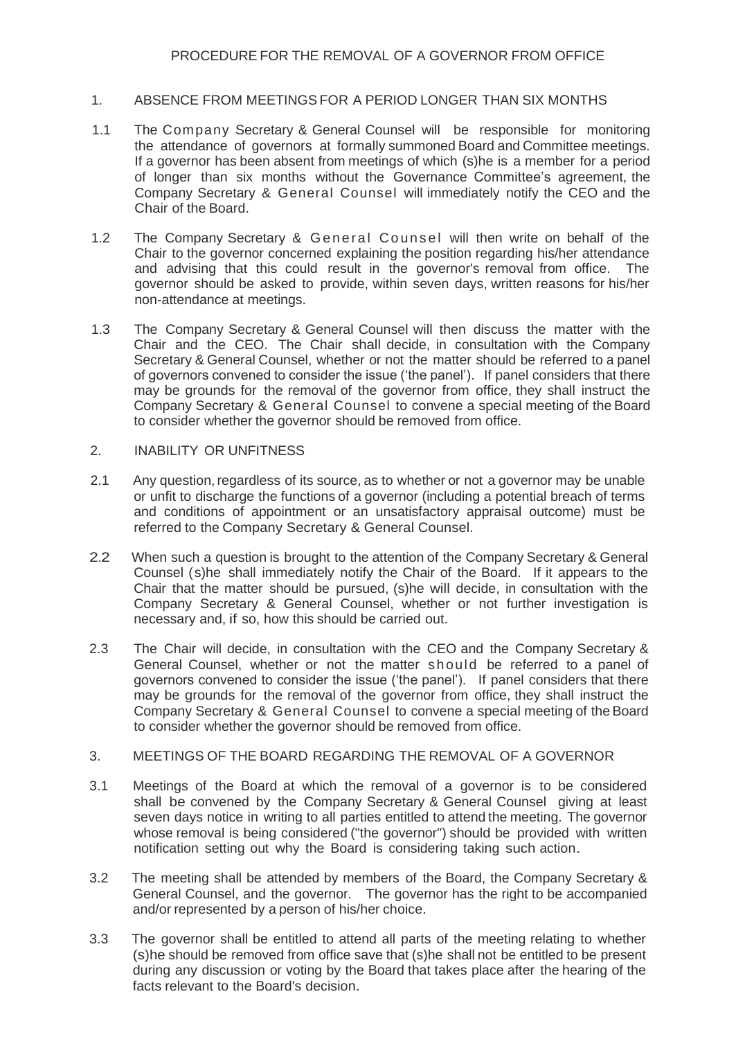## 1. ABSENCE FROM MEETINGS FOR A PERIOD LONGER THAN SIX MONTHS

- 1.1 The Company Secretary & General Counsel will be responsible for monitoring the attendance of governors at formally summoned Board and Committee meetings. If a governor has been absent from meetings of which (s)he is a member for a period of longer than six months without the Governance Committee's agreement, the Company Secretary & General Counsel will immediately notify the CEO and the Chair of the Board.
- 1.2 The Company Secretary & General Counsel will then write on behalf of the Chair to the governor concerned explaining the position regarding his/her attendance and advising that this could result in the governor's removal from office. The governor should be asked to provide, within seven days, written reasons for his/her non-attendance at meetings.
- 1.3 The Company Secretary & General Counsel will then discuss the matter with the Chair and the CEO. The Chair shall decide, in consultation with the Company Secretary & General Counsel, whether or not the matter should be referred to a panel of governors convened to consider the issue ('the panel'). If panel considers that there may be grounds for the removal of the governor from office, they shall instruct the Company Secretary & General Counsel to convene a special meeting of the Board to consider whether the governor should be removed from office.

## 2. INABILITY OR UNFITNESS

- 2.1 Any question, regardless of its source, as to whether or not a governor may be unable or unfit to discharge the functions of a governor (including a potential breach of terms and conditions of appointment or an unsatisfactory appraisal outcome) must be referred to the Company Secretary & General Counsel.
- 2.2 When such a question is brought to the attention of the Company Secretary & General Counsel (s)he shall immediately notify the Chair of the Board. If it appears to the Chair that the matter should be pursued, (s)he will decide, in consultation with the Company Secretary & General Counsel, whether or not further investigation is necessary and, if so, how this should be carried out.
- 2.3 The Chair will decide, in consultation with the CEO and the Company Secretary & General Counsel, whether or not the matter should be referred to a panel of governors convened to consider the issue ('the panel'). If panel considers that there may be grounds for the removal of the governor from office, they shall instruct the Company Secretary & General Counsel to convene a special meeting of the Board to consider whether the governor should be removed from office.

## 3. MEETINGS OF THE BOARD REGARDING THE REMOVAL OF A GOVERNOR

- 3.1 Meetings of the Board at which the removal of a governor is to be considered shall be convened by the Company Secretary & General Counsel giving at least seven days notice in writing to all parties entitled to attend the meeting. The governor whose removal is being considered ("the governor") should be provided with written notification setting out why the Board is considering taking such action.
- 3.2 The meeting shall be attended by members of the Board, the Company Secretary & General Counsel, and the governor. The governor has the right to be accompanied and/or represented by a person of his/her choice.
- 3.3 The governor shall be entitled to attend all parts of the meeting relating to whether (s)he should be removed from office save that (s)he shall not be entitled to be present during any discussion or voting by the Board that takes place after the hearing of the facts relevant to the Board's decision.